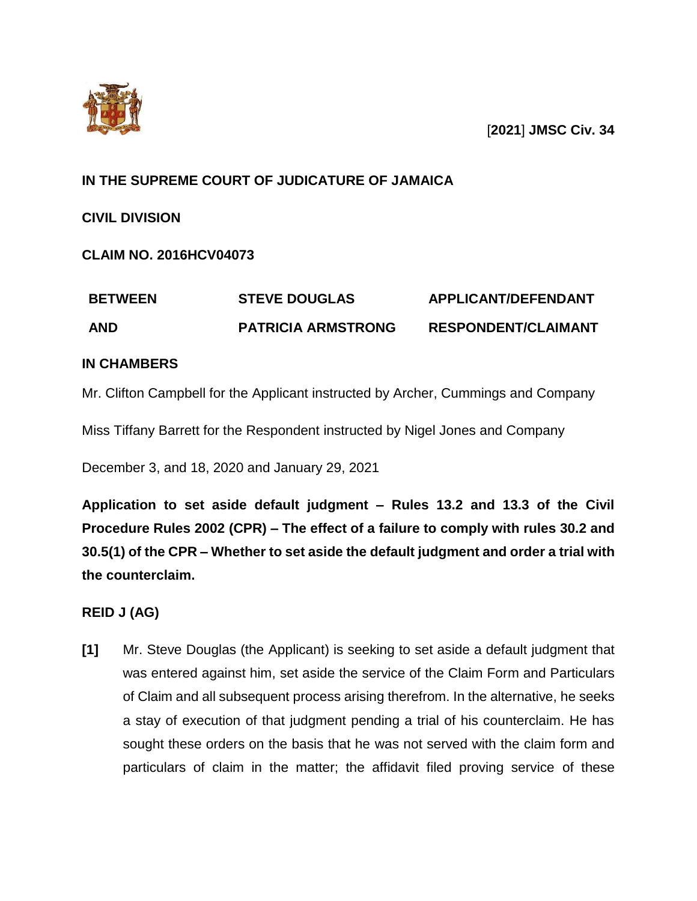



## **IN THE SUPREME COURT OF JUDICATURE OF JAMAICA**

**CIVIL DIVISION** 

# **CLAIM NO. 2016HCV04073**

| <b>BETWEEN</b> | <b>STEVE DOUGLAS</b>      | <b>APPLICANT/DEFENDANT</b> |
|----------------|---------------------------|----------------------------|
| <b>AND</b>     | <b>PATRICIA ARMSTRONG</b> | <b>RESPONDENT/CLAIMANT</b> |

## **IN CHAMBERS**

Mr. Clifton Campbell for the Applicant instructed by Archer, Cummings and Company

Miss Tiffany Barrett for the Respondent instructed by Nigel Jones and Company

December 3, and 18, 2020 and January 29, 2021

**Application to set aside default judgment – Rules 13.2 and 13.3 of the Civil Procedure Rules 2002 (CPR) – The effect of a failure to comply with rules 30.2 and 30.5(1) of the CPR – Whether to set aside the default judgment and order a trial with the counterclaim.**

## **REID J (AG)**

**[1]** Mr. Steve Douglas (the Applicant) is seeking to set aside a default judgment that was entered against him, set aside the service of the Claim Form and Particulars of Claim and all subsequent process arising therefrom. In the alternative, he seeks a stay of execution of that judgment pending a trial of his counterclaim. He has sought these orders on the basis that he was not served with the claim form and particulars of claim in the matter; the affidavit filed proving service of these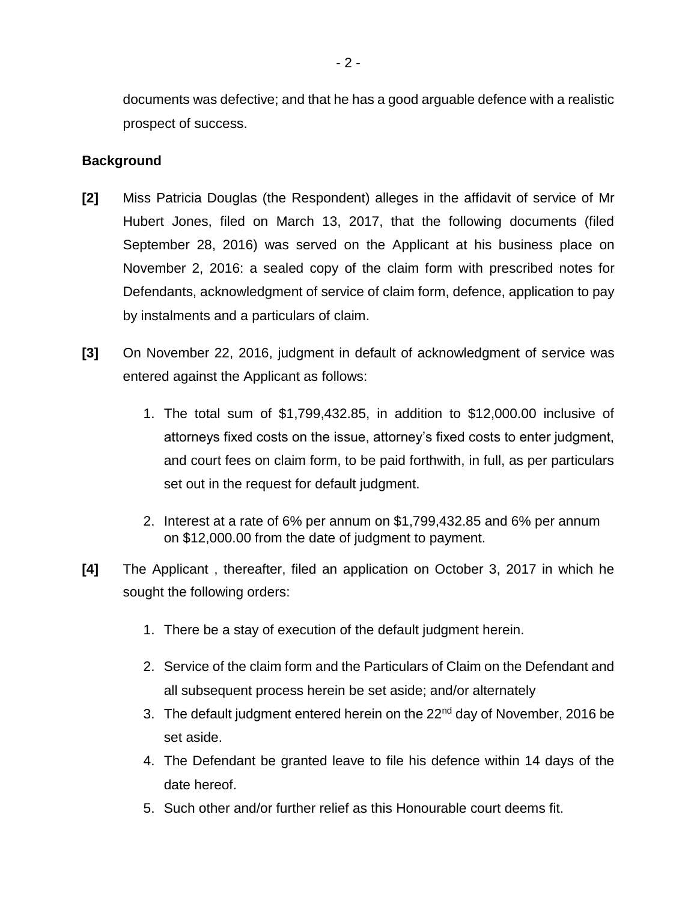documents was defective; and that he has a good arguable defence with a realistic prospect of success.

## **Background**

- **[2]** Miss Patricia Douglas (the Respondent) alleges in the affidavit of service of Mr Hubert Jones, filed on March 13, 2017, that the following documents (filed September 28, 2016) was served on the Applicant at his business place on November 2, 2016: a sealed copy of the claim form with prescribed notes for Defendants, acknowledgment of service of claim form, defence, application to pay by instalments and a particulars of claim.
- **[3]** On November 22, 2016, judgment in default of acknowledgment of service was entered against the Applicant as follows:
	- 1. The total sum of \$1,799,432.85, in addition to \$12,000.00 inclusive of attorneys fixed costs on the issue, attorney's fixed costs to enter judgment, and court fees on claim form, to be paid forthwith, in full, as per particulars set out in the request for default judgment.
	- 2. Interest at a rate of 6% per annum on \$1,799,432.85 and 6% per annum on \$12,000.00 from the date of judgment to payment.
- **[4]** The Applicant , thereafter, filed an application on October 3, 2017 in which he sought the following orders:
	- 1. There be a stay of execution of the default judgment herein.
	- 2. Service of the claim form and the Particulars of Claim on the Defendant and all subsequent process herein be set aside; and/or alternately
	- 3. The default judgment entered herein on the 22<sup>nd</sup> day of November, 2016 be set aside.
	- 4. The Defendant be granted leave to file his defence within 14 days of the date hereof.
	- 5. Such other and/or further relief as this Honourable court deems fit.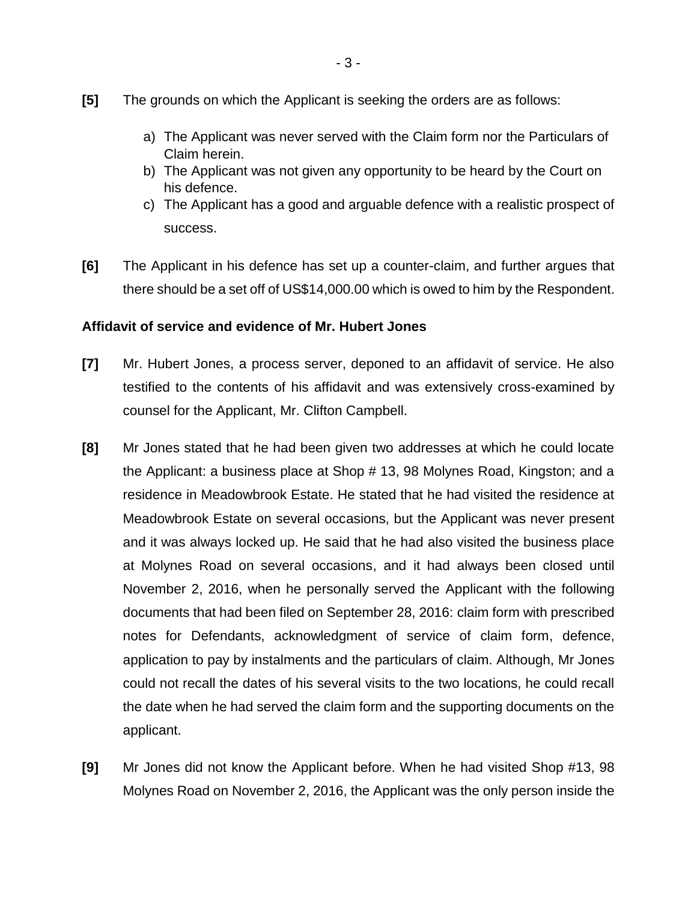- **[5]** The grounds on which the Applicant is seeking the orders are as follows:
	- a) The Applicant was never served with the Claim form nor the Particulars of Claim herein.
	- b) The Applicant was not given any opportunity to be heard by the Court on his defence.
	- c) The Applicant has a good and arguable defence with a realistic prospect of success.
- **[6]** The Applicant in his defence has set up a counter-claim, and further argues that there should be a set off of US\$14,000.00 which is owed to him by the Respondent.

#### **Affidavit of service and evidence of Mr. Hubert Jones**

- **[7]** Mr. Hubert Jones, a process server, deponed to an affidavit of service. He also testified to the contents of his affidavit and was extensively cross-examined by counsel for the Applicant, Mr. Clifton Campbell.
- **[8]** Mr Jones stated that he had been given two addresses at which he could locate the Applicant: a business place at Shop # 13, 98 Molynes Road, Kingston; and a residence in Meadowbrook Estate. He stated that he had visited the residence at Meadowbrook Estate on several occasions, but the Applicant was never present and it was always locked up. He said that he had also visited the business place at Molynes Road on several occasions, and it had always been closed until November 2, 2016, when he personally served the Applicant with the following documents that had been filed on September 28, 2016: claim form with prescribed notes for Defendants, acknowledgment of service of claim form, defence, application to pay by instalments and the particulars of claim. Although, Mr Jones could not recall the dates of his several visits to the two locations, he could recall the date when he had served the claim form and the supporting documents on the applicant.
- **[9]** Mr Jones did not know the Applicant before. When he had visited Shop #13, 98 Molynes Road on November 2, 2016, the Applicant was the only person inside the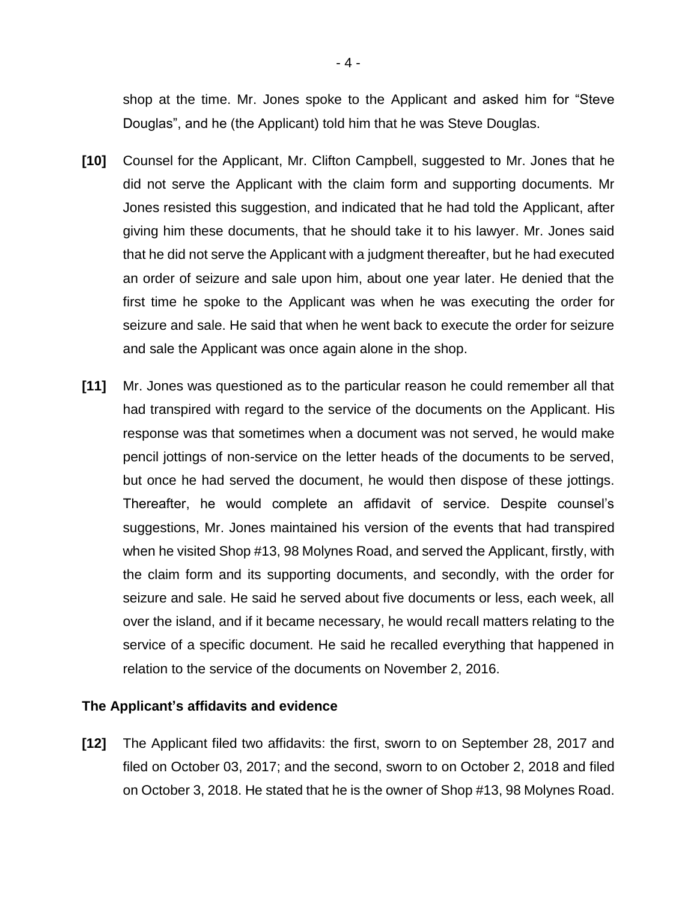shop at the time. Mr. Jones spoke to the Applicant and asked him for "Steve Douglas", and he (the Applicant) told him that he was Steve Douglas.

- **[10]** Counsel for the Applicant, Mr. Clifton Campbell, suggested to Mr. Jones that he did not serve the Applicant with the claim form and supporting documents. Mr Jones resisted this suggestion, and indicated that he had told the Applicant, after giving him these documents, that he should take it to his lawyer. Mr. Jones said that he did not serve the Applicant with a judgment thereafter, but he had executed an order of seizure and sale upon him, about one year later. He denied that the first time he spoke to the Applicant was when he was executing the order for seizure and sale. He said that when he went back to execute the order for seizure and sale the Applicant was once again alone in the shop.
- **[11]** Mr. Jones was questioned as to the particular reason he could remember all that had transpired with regard to the service of the documents on the Applicant. His response was that sometimes when a document was not served, he would make pencil jottings of non-service on the letter heads of the documents to be served, but once he had served the document, he would then dispose of these jottings. Thereafter, he would complete an affidavit of service. Despite counsel's suggestions, Mr. Jones maintained his version of the events that had transpired when he visited Shop #13, 98 Molynes Road, and served the Applicant, firstly, with the claim form and its supporting documents, and secondly, with the order for seizure and sale. He said he served about five documents or less, each week, all over the island, and if it became necessary, he would recall matters relating to the service of a specific document. He said he recalled everything that happened in relation to the service of the documents on November 2, 2016.

#### **The Applicant's affidavits and evidence**

**[12]** The Applicant filed two affidavits: the first, sworn to on September 28, 2017 and filed on October 03, 2017; and the second, sworn to on October 2, 2018 and filed on October 3, 2018. He stated that he is the owner of Shop #13, 98 Molynes Road.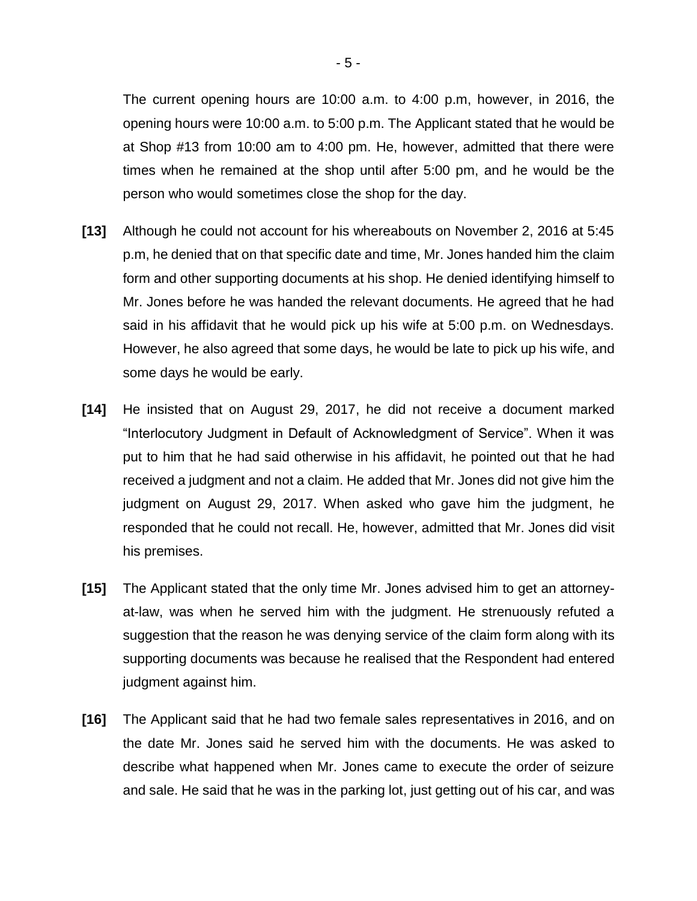The current opening hours are 10:00 a.m. to 4:00 p.m, however, in 2016, the opening hours were 10:00 a.m. to 5:00 p.m. The Applicant stated that he would be at Shop #13 from 10:00 am to 4:00 pm. He, however, admitted that there were times when he remained at the shop until after 5:00 pm, and he would be the person who would sometimes close the shop for the day.

- **[13]** Although he could not account for his whereabouts on November 2, 2016 at 5:45 p.m, he denied that on that specific date and time, Mr. Jones handed him the claim form and other supporting documents at his shop. He denied identifying himself to Mr. Jones before he was handed the relevant documents. He agreed that he had said in his affidavit that he would pick up his wife at 5:00 p.m. on Wednesdays. However, he also agreed that some days, he would be late to pick up his wife, and some days he would be early.
- **[14]** He insisted that on August 29, 2017, he did not receive a document marked "Interlocutory Judgment in Default of Acknowledgment of Service". When it was put to him that he had said otherwise in his affidavit, he pointed out that he had received a judgment and not a claim. He added that Mr. Jones did not give him the judgment on August 29, 2017. When asked who gave him the judgment, he responded that he could not recall. He, however, admitted that Mr. Jones did visit his premises.
- **[15]** The Applicant stated that the only time Mr. Jones advised him to get an attorneyat-law, was when he served him with the judgment. He strenuously refuted a suggestion that the reason he was denying service of the claim form along with its supporting documents was because he realised that the Respondent had entered judgment against him.
- **[16]** The Applicant said that he had two female sales representatives in 2016, and on the date Mr. Jones said he served him with the documents. He was asked to describe what happened when Mr. Jones came to execute the order of seizure and sale. He said that he was in the parking lot, just getting out of his car, and was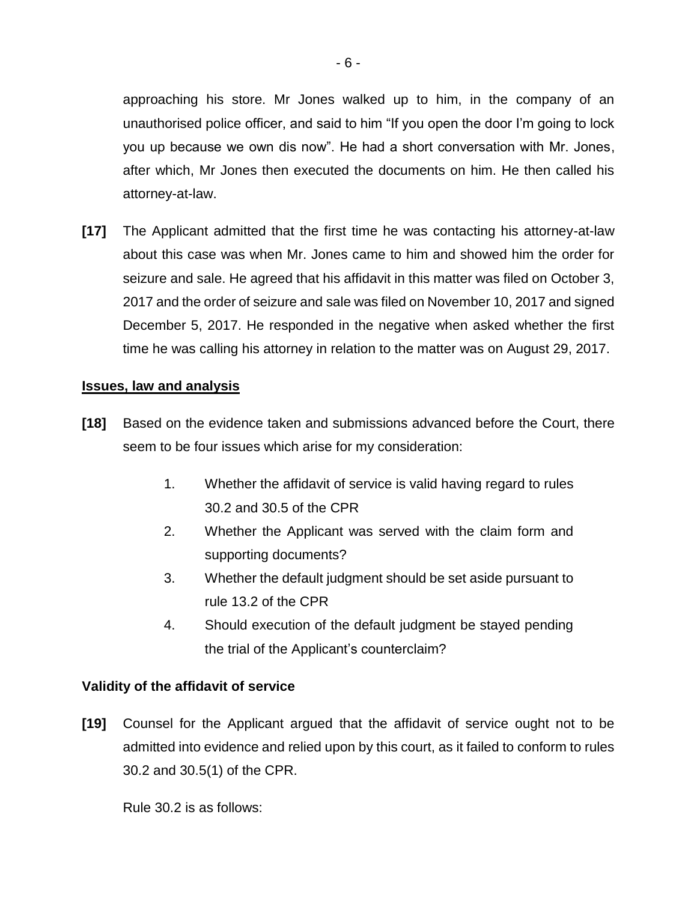approaching his store. Mr Jones walked up to him, in the company of an unauthorised police officer, and said to him "If you open the door I'm going to lock you up because we own dis now". He had a short conversation with Mr. Jones, after which, Mr Jones then executed the documents on him. He then called his attorney-at-law.

**[17]** The Applicant admitted that the first time he was contacting his attorney-at-law about this case was when Mr. Jones came to him and showed him the order for seizure and sale. He agreed that his affidavit in this matter was filed on October 3, 2017 and the order of seizure and sale was filed on November 10, 2017 and signed December 5, 2017. He responded in the negative when asked whether the first time he was calling his attorney in relation to the matter was on August 29, 2017.

#### **Issues, law and analysis**

- **[18]** Based on the evidence taken and submissions advanced before the Court, there seem to be four issues which arise for my consideration:
	- 1. Whether the affidavit of service is valid having regard to rules 30.2 and 30.5 of the CPR
	- 2. Whether the Applicant was served with the claim form and supporting documents?
	- 3. Whether the default judgment should be set aside pursuant to rule 13.2 of the CPR
	- 4. Should execution of the default judgment be stayed pending the trial of the Applicant's counterclaim?

#### **Validity of the affidavit of service**

**[19]** Counsel for the Applicant argued that the affidavit of service ought not to be admitted into evidence and relied upon by this court, as it failed to conform to rules 30.2 and 30.5(1) of the CPR.

Rule 30.2 is as follows: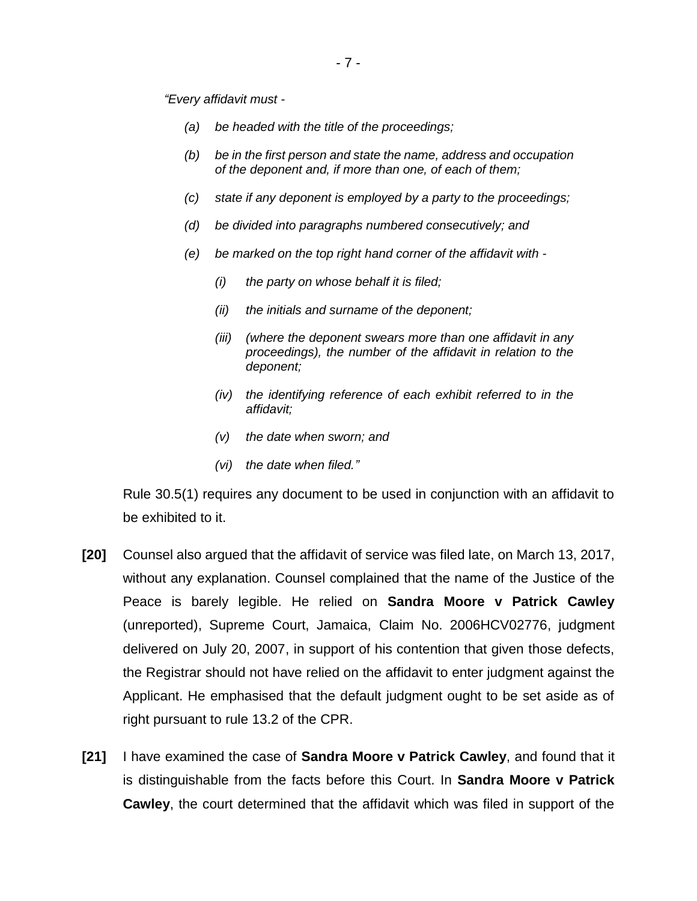*"Every affidavit must -*

- *(a) be headed with the title of the proceedings;*
- *(b) be in the first person and state the name, address and occupation of the deponent and, if more than one, of each of them;*
- *(c) state if any deponent is employed by a party to the proceedings;*
- *(d) be divided into paragraphs numbered consecutively; and*
- *(e) be marked on the top right hand corner of the affidavit with -*
	- *(i) the party on whose behalf it is filed;*
	- *(ii) the initials and surname of the deponent;*
	- *(iii) (where the deponent swears more than one affidavit in any proceedings), the number of the affidavit in relation to the deponent;*
	- *(iv) the identifying reference of each exhibit referred to in the affidavit;*
	- *(v) the date when sworn; and*
	- *(vi) the date when filed."*

Rule 30.5(1) requires any document to be used in conjunction with an affidavit to be exhibited to it.

- **[20]** Counsel also argued that the affidavit of service was filed late, on March 13, 2017, without any explanation. Counsel complained that the name of the Justice of the Peace is barely legible. He relied on **Sandra Moore v Patrick Cawley** (unreported), Supreme Court, Jamaica, Claim No. 2006HCV02776, judgment delivered on July 20, 2007, in support of his contention that given those defects, the Registrar should not have relied on the affidavit to enter judgment against the Applicant. He emphasised that the default judgment ought to be set aside as of right pursuant to rule 13.2 of the CPR.
- **[21]** I have examined the case of **Sandra Moore v Patrick Cawley**, and found that it is distinguishable from the facts before this Court. In **Sandra Moore v Patrick Cawley**, the court determined that the affidavit which was filed in support of the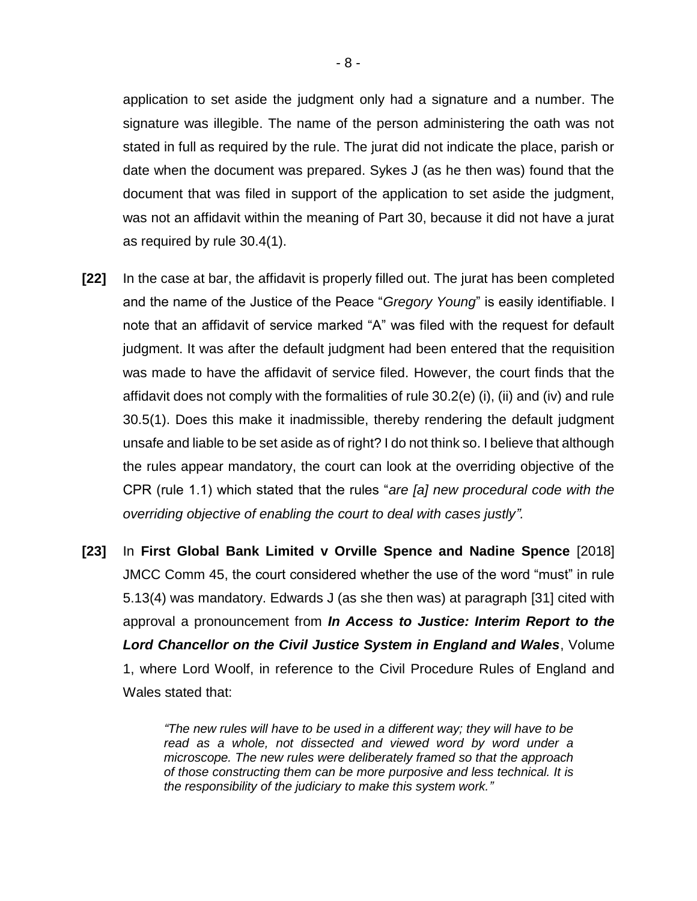application to set aside the judgment only had a signature and a number. The signature was illegible. The name of the person administering the oath was not stated in full as required by the rule. The jurat did not indicate the place, parish or date when the document was prepared. Sykes J (as he then was) found that the document that was filed in support of the application to set aside the judgment, was not an affidavit within the meaning of Part 30, because it did not have a jurat as required by rule 30.4(1).

- **[22]** In the case at bar, the affidavit is properly filled out. The jurat has been completed and the name of the Justice of the Peace "*Gregory Young*" is easily identifiable. I note that an affidavit of service marked "A" was filed with the request for default judgment. It was after the default judgment had been entered that the requisition was made to have the affidavit of service filed. However, the court finds that the affidavit does not comply with the formalities of rule 30.2(e) (i), (ii) and (iv) and rule 30.5(1). Does this make it inadmissible, thereby rendering the default judgment unsafe and liable to be set aside as of right? I do not think so. I believe that although the rules appear mandatory, the court can look at the overriding objective of the CPR (rule 1.1) which stated that the rules "*are [a] new procedural code with the overriding objective of enabling the court to deal with cases justly".*
- **[23]** In **First Global Bank Limited v Orville Spence and Nadine Spence** [2018] JMCC Comm 45, the court considered whether the use of the word "must" in rule 5.13(4) was mandatory. Edwards J (as she then was) at paragraph [31] cited with approval a pronouncement from *In Access to Justice: Interim Report to the Lord Chancellor on the Civil Justice System in England and Wales*, Volume 1, where Lord Woolf, in reference to the Civil Procedure Rules of England and Wales stated that:

*"The new rules will have to be used in a different way; they will have to be read as a whole, not dissected and viewed word by word under a microscope. The new rules were deliberately framed so that the approach of those constructing them can be more purposive and less technical. It is the responsibility of the judiciary to make this system work."*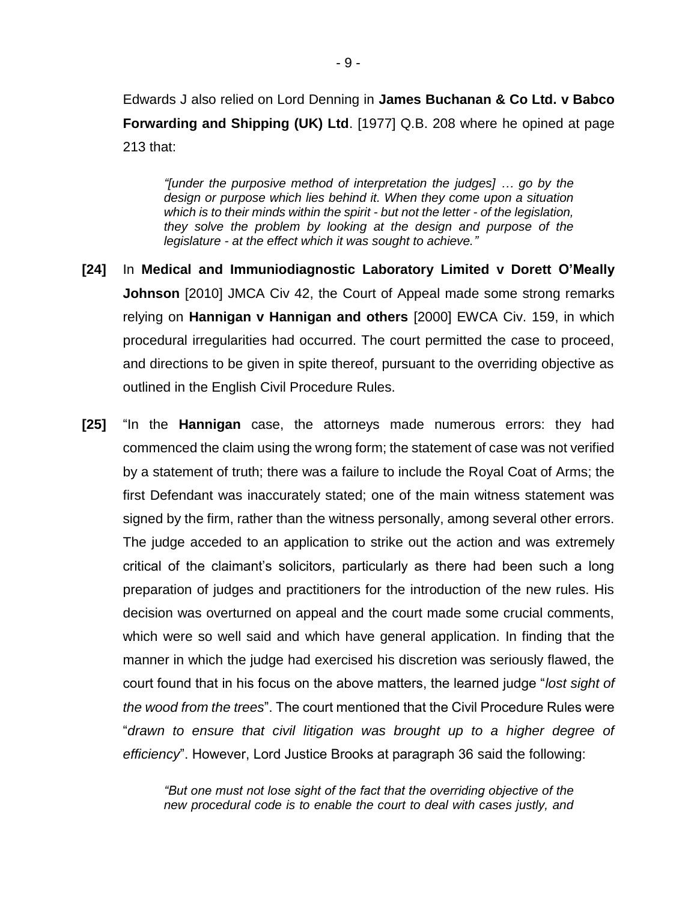Edwards J also relied on Lord Denning in **James Buchanan & Co Ltd. v Babco Forwarding and Shipping (UK) Ltd**. [1977] Q.B. 208 where he opined at page 213 that:

*"[under the purposive method of interpretation the judges] … go by the design or purpose which lies behind it. When they come upon a situation which is to their minds within the spirit - but not the letter - of the legislation, they solve the problem by looking at the design and purpose of the legislature - at the effect which it was sought to achieve."* 

- **[24]** In **Medical and Immuniodiagnostic Laboratory Limited v Dorett O'Meally Johnson** [2010] JMCA Civ 42, the Court of Appeal made some strong remarks relying on **Hannigan v Hannigan and others** [2000] EWCA Civ. 159, in which procedural irregularities had occurred. The court permitted the case to proceed, and directions to be given in spite thereof, pursuant to the overriding objective as outlined in the English Civil Procedure Rules.
- **[25]** "In the **Hannigan** case, the attorneys made numerous errors: they had commenced the claim using the wrong form; the statement of case was not verified by a statement of truth; there was a failure to include the Royal Coat of Arms; the first Defendant was inaccurately stated; one of the main witness statement was signed by the firm, rather than the witness personally, among several other errors. The judge acceded to an application to strike out the action and was extremely critical of the claimant's solicitors, particularly as there had been such a long preparation of judges and practitioners for the introduction of the new rules. His decision was overturned on appeal and the court made some crucial comments, which were so well said and which have general application. In finding that the manner in which the judge had exercised his discretion was seriously flawed, the court found that in his focus on the above matters, the learned judge "*lost sight of the wood from the trees*". The court mentioned that the Civil Procedure Rules were "*drawn to ensure that civil litigation was brought up to a higher degree of efficiency*". However, Lord Justice Brooks at paragraph 36 said the following:

*"But one must not lose sight of the fact that the overriding objective of the new procedural code is to enable the court to deal with cases justly, and*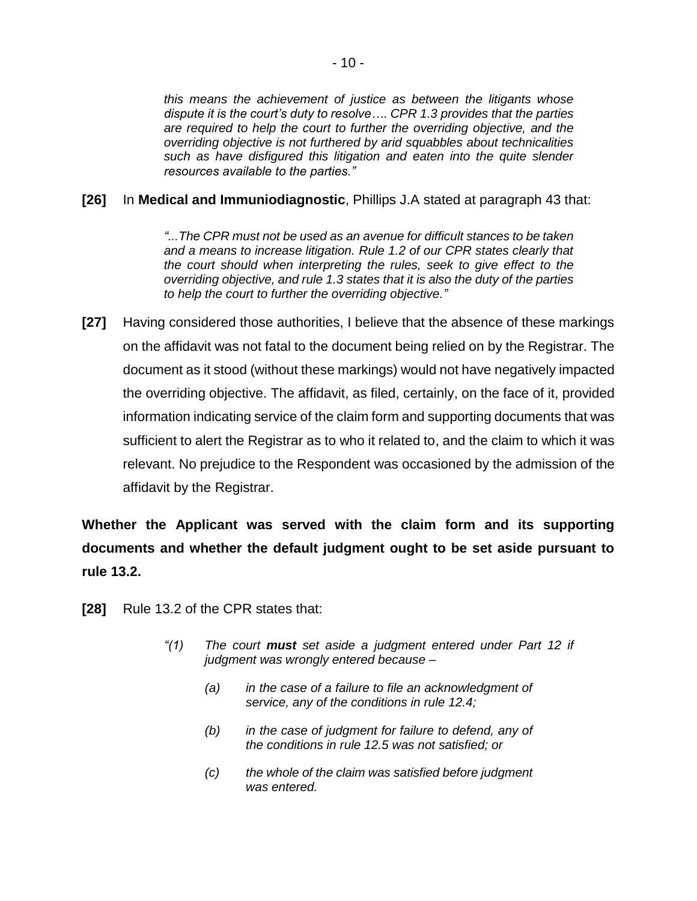*this means the achievement of justice as between the litigants whose dispute it is the court's duty to resolve…. CPR 1.3 provides that the parties are required to help the court to further the overriding objective, and the overriding objective is not furthered by arid squabbles about technicalities such as have disfigured this litigation and eaten into the quite slender resources available to the parties."*

## **[26]** In **Medical and Immuniodiagnostic**, Phillips J.A stated at paragraph 43 that:

*"...The CPR must not be used as an avenue for difficult stances to be taken and a means to increase litigation. Rule 1.2 of our CPR states clearly that the court should when interpreting the rules, seek to give effect to the overriding objective, and rule 1.3 states that it is also the duty of the parties to help the court to further the overriding objective."*

**[27]** Having considered those authorities, I believe that the absence of these markings on the affidavit was not fatal to the document being relied on by the Registrar. The document as it stood (without these markings) would not have negatively impacted the overriding objective. The affidavit, as filed, certainly, on the face of it, provided information indicating service of the claim form and supporting documents that was sufficient to alert the Registrar as to who it related to, and the claim to which it was relevant. No prejudice to the Respondent was occasioned by the admission of the affidavit by the Registrar.

**Whether the Applicant was served with the claim form and its supporting documents and whether the default judgment ought to be set aside pursuant to rule 13.2.** 

- **[28]** Rule 13.2 of the CPR states that:
	- *"(1) The court must set aside a judgment entered under Part 12 if judgment was wrongly entered because –*
		- *(a) in the case of a failure to file an acknowledgment of service, any of the conditions in rule 12.4;*
		- *(b) in the case of judgment for failure to defend, any of the conditions in rule 12.5 was not satisfied; or*
		- *(c) the whole of the claim was satisfied before judgment was entered.*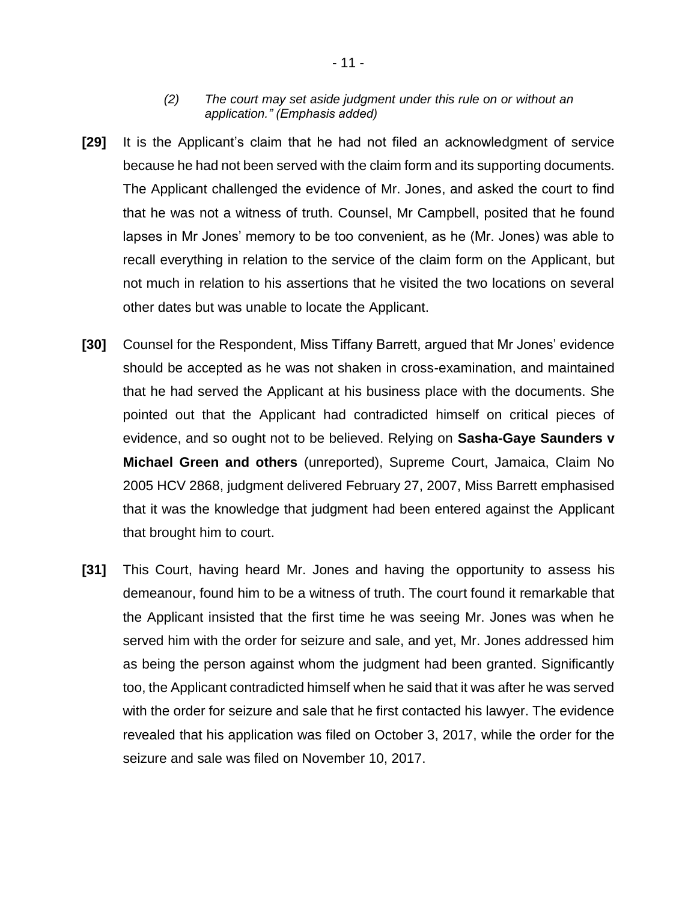#### *(2) The court may set aside judgment under this rule on or without an application." (Emphasis added)*

- **[29]** It is the Applicant's claim that he had not filed an acknowledgment of service because he had not been served with the claim form and its supporting documents. The Applicant challenged the evidence of Mr. Jones, and asked the court to find that he was not a witness of truth. Counsel, Mr Campbell, posited that he found lapses in Mr Jones' memory to be too convenient, as he (Mr. Jones) was able to recall everything in relation to the service of the claim form on the Applicant, but not much in relation to his assertions that he visited the two locations on several other dates but was unable to locate the Applicant.
- **[30]** Counsel for the Respondent, Miss Tiffany Barrett, argued that Mr Jones' evidence should be accepted as he was not shaken in cross-examination, and maintained that he had served the Applicant at his business place with the documents. She pointed out that the Applicant had contradicted himself on critical pieces of evidence, and so ought not to be believed. Relying on **Sasha-Gaye Saunders v Michael Green and others** (unreported), Supreme Court, Jamaica, Claim No 2005 HCV 2868, judgment delivered February 27, 2007, Miss Barrett emphasised that it was the knowledge that judgment had been entered against the Applicant that brought him to court.
- **[31]** This Court, having heard Mr. Jones and having the opportunity to assess his demeanour, found him to be a witness of truth. The court found it remarkable that the Applicant insisted that the first time he was seeing Mr. Jones was when he served him with the order for seizure and sale, and yet, Mr. Jones addressed him as being the person against whom the judgment had been granted. Significantly too, the Applicant contradicted himself when he said that it was after he was served with the order for seizure and sale that he first contacted his lawyer. The evidence revealed that his application was filed on October 3, 2017, while the order for the seizure and sale was filed on November 10, 2017.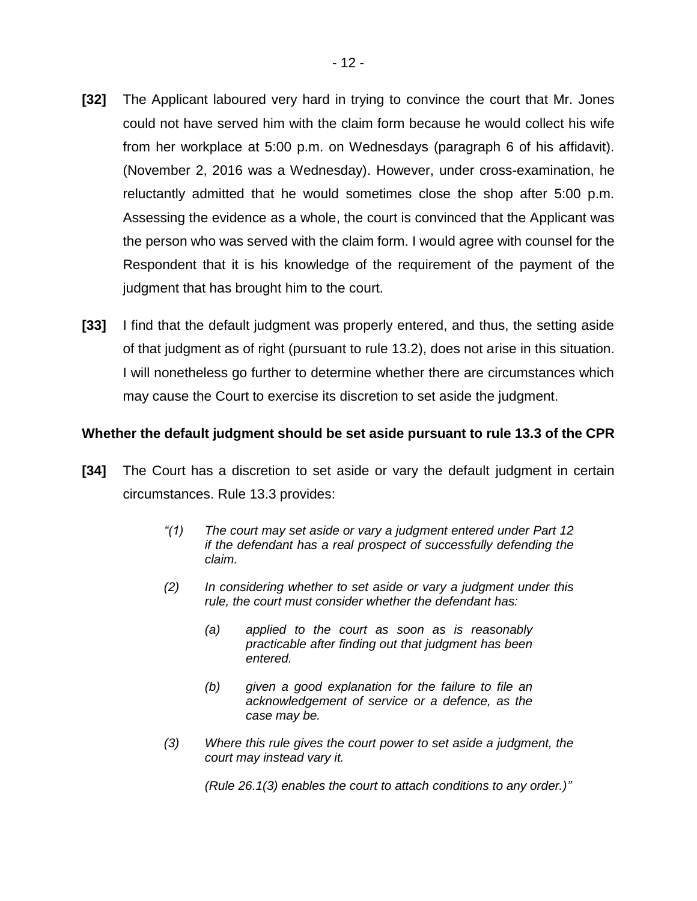- **[32]** The Applicant laboured very hard in trying to convince the court that Mr. Jones could not have served him with the claim form because he would collect his wife from her workplace at 5:00 p.m. on Wednesdays (paragraph 6 of his affidavit). (November 2, 2016 was a Wednesday). However, under cross-examination, he reluctantly admitted that he would sometimes close the shop after 5:00 p.m. Assessing the evidence as a whole, the court is convinced that the Applicant was the person who was served with the claim form. I would agree with counsel for the Respondent that it is his knowledge of the requirement of the payment of the judgment that has brought him to the court.
- **[33]** I find that the default judgment was properly entered, and thus, the setting aside of that judgment as of right (pursuant to rule 13.2), does not arise in this situation. I will nonetheless go further to determine whether there are circumstances which may cause the Court to exercise its discretion to set aside the judgment.

#### **Whether the default judgment should be set aside pursuant to rule 13.3 of the CPR**

- **[34]** The Court has a discretion to set aside or vary the default judgment in certain circumstances. Rule 13.3 provides:
	- *"(1) The court may set aside or vary a judgment entered under Part 12 if the defendant has a real prospect of successfully defending the claim.*
	- *(2) In considering whether to set aside or vary a judgment under this rule, the court must consider whether the defendant has:* 
		- *(a) applied to the court as soon as is reasonably practicable after finding out that judgment has been entered.*
		- *(b) given a good explanation for the failure to file an acknowledgement of service or a defence, as the case may be.*
	- *(3) Where this rule gives the court power to set aside a judgment, the court may instead vary it.*

*(Rule 26.1(3) enables the court to attach conditions to any order.)"*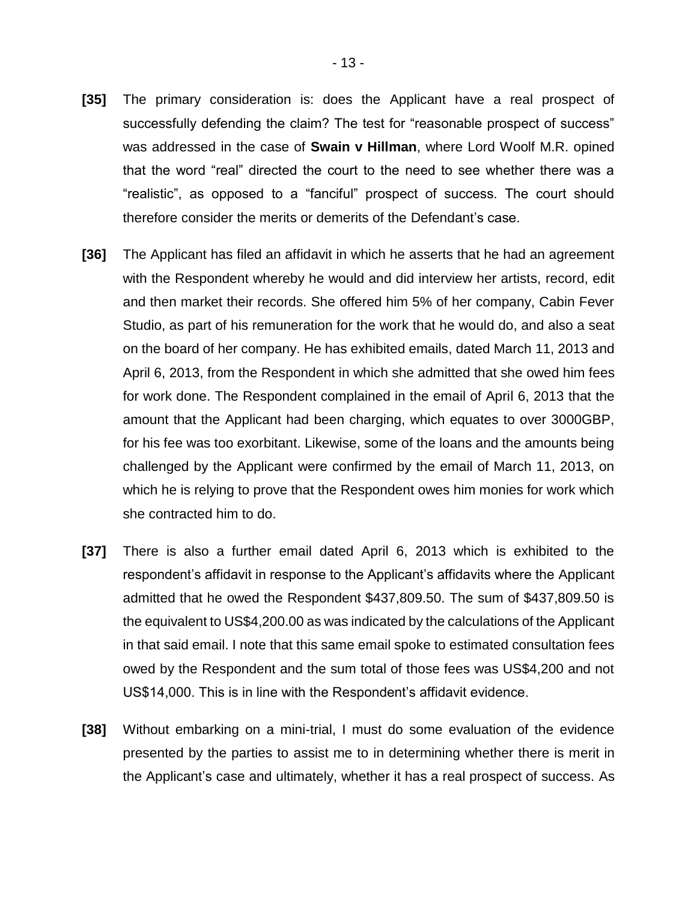- **[35]** The primary consideration is: does the Applicant have a real prospect of successfully defending the claim? The test for "reasonable prospect of success" was addressed in the case of **Swain v Hillman**, where Lord Woolf M.R. opined that the word "real" directed the court to the need to see whether there was a "realistic", as opposed to a "fanciful" prospect of success. The court should therefore consider the merits or demerits of the Defendant's case.
- **[36]** The Applicant has filed an affidavit in which he asserts that he had an agreement with the Respondent whereby he would and did interview her artists, record, edit and then market their records. She offered him 5% of her company, Cabin Fever Studio, as part of his remuneration for the work that he would do, and also a seat on the board of her company. He has exhibited emails, dated March 11, 2013 and April 6, 2013, from the Respondent in which she admitted that she owed him fees for work done. The Respondent complained in the email of April 6, 2013 that the amount that the Applicant had been charging, which equates to over 3000GBP, for his fee was too exorbitant. Likewise, some of the loans and the amounts being challenged by the Applicant were confirmed by the email of March 11, 2013, on which he is relying to prove that the Respondent owes him monies for work which she contracted him to do.
- **[37]** There is also a further email dated April 6, 2013 which is exhibited to the respondent's affidavit in response to the Applicant's affidavits where the Applicant admitted that he owed the Respondent \$437,809.50. The sum of \$437,809.50 is the equivalent to US\$4,200.00 as was indicated by the calculations of the Applicant in that said email. I note that this same email spoke to estimated consultation fees owed by the Respondent and the sum total of those fees was US\$4,200 and not US\$14,000. This is in line with the Respondent's affidavit evidence.
- **[38]** Without embarking on a mini-trial, I must do some evaluation of the evidence presented by the parties to assist me to in determining whether there is merit in the Applicant's case and ultimately, whether it has a real prospect of success. As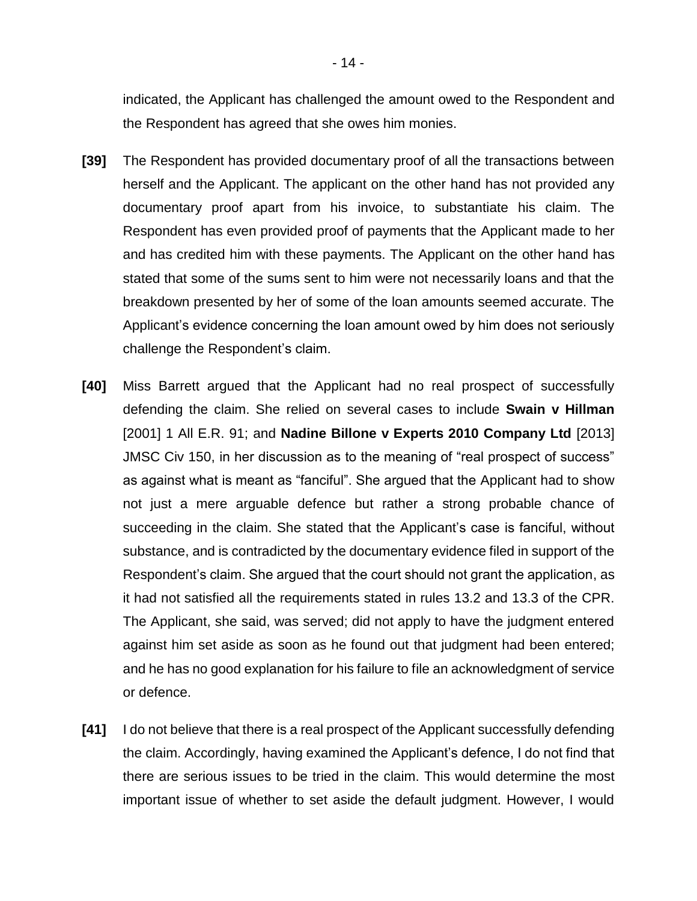indicated, the Applicant has challenged the amount owed to the Respondent and the Respondent has agreed that she owes him monies.

- **[39]** The Respondent has provided documentary proof of all the transactions between herself and the Applicant. The applicant on the other hand has not provided any documentary proof apart from his invoice, to substantiate his claim. The Respondent has even provided proof of payments that the Applicant made to her and has credited him with these payments. The Applicant on the other hand has stated that some of the sums sent to him were not necessarily loans and that the breakdown presented by her of some of the loan amounts seemed accurate. The Applicant's evidence concerning the loan amount owed by him does not seriously challenge the Respondent's claim.
- **[40]** Miss Barrett argued that the Applicant had no real prospect of successfully defending the claim. She relied on several cases to include **Swain v Hillman** [2001] 1 All E.R. 91; and **Nadine Billone v Experts 2010 Company Ltd** [2013] JMSC Civ 150, in her discussion as to the meaning of "real prospect of success" as against what is meant as "fanciful". She argued that the Applicant had to show not just a mere arguable defence but rather a strong probable chance of succeeding in the claim. She stated that the Applicant's case is fanciful, without substance, and is contradicted by the documentary evidence filed in support of the Respondent's claim. She argued that the court should not grant the application, as it had not satisfied all the requirements stated in rules 13.2 and 13.3 of the CPR. The Applicant, she said, was served; did not apply to have the judgment entered against him set aside as soon as he found out that judgment had been entered; and he has no good explanation for his failure to file an acknowledgment of service or defence.
- **[41]** I do not believe that there is a real prospect of the Applicant successfully defending the claim. Accordingly, having examined the Applicant's defence, I do not find that there are serious issues to be tried in the claim. This would determine the most important issue of whether to set aside the default judgment. However, I would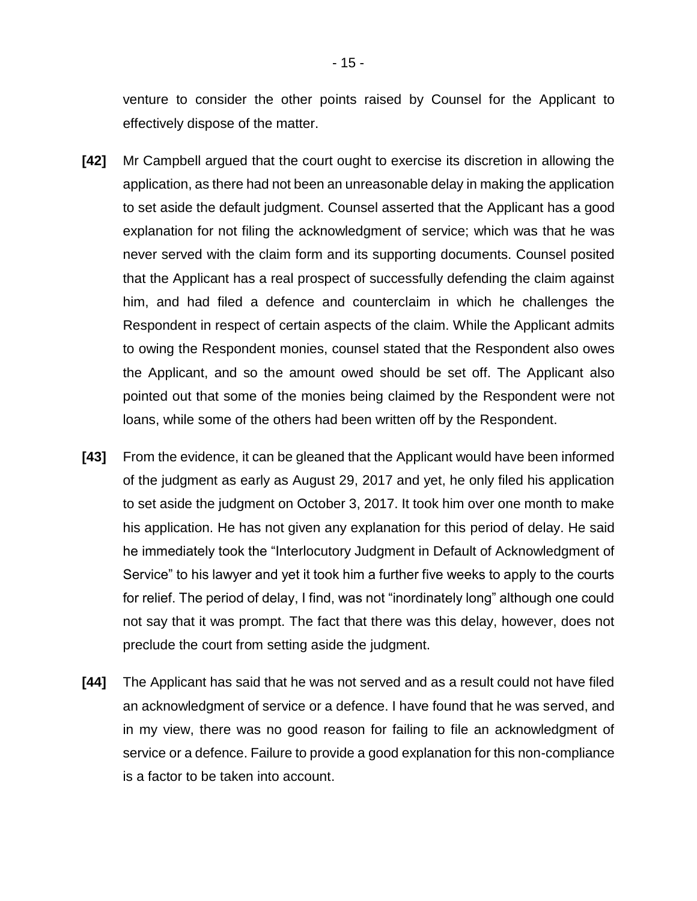venture to consider the other points raised by Counsel for the Applicant to effectively dispose of the matter.

- **[42]** Mr Campbell argued that the court ought to exercise its discretion in allowing the application, as there had not been an unreasonable delay in making the application to set aside the default judgment. Counsel asserted that the Applicant has a good explanation for not filing the acknowledgment of service; which was that he was never served with the claim form and its supporting documents. Counsel posited that the Applicant has a real prospect of successfully defending the claim against him, and had filed a defence and counterclaim in which he challenges the Respondent in respect of certain aspects of the claim. While the Applicant admits to owing the Respondent monies, counsel stated that the Respondent also owes the Applicant, and so the amount owed should be set off. The Applicant also pointed out that some of the monies being claimed by the Respondent were not loans, while some of the others had been written off by the Respondent.
- **[43]** From the evidence, it can be gleaned that the Applicant would have been informed of the judgment as early as August 29, 2017 and yet, he only filed his application to set aside the judgment on October 3, 2017. It took him over one month to make his application. He has not given any explanation for this period of delay. He said he immediately took the "Interlocutory Judgment in Default of Acknowledgment of Service" to his lawyer and yet it took him a further five weeks to apply to the courts for relief. The period of delay, I find, was not "inordinately long" although one could not say that it was prompt. The fact that there was this delay, however, does not preclude the court from setting aside the judgment.
- **[44]** The Applicant has said that he was not served and as a result could not have filed an acknowledgment of service or a defence. I have found that he was served, and in my view, there was no good reason for failing to file an acknowledgment of service or a defence. Failure to provide a good explanation for this non-compliance is a factor to be taken into account.